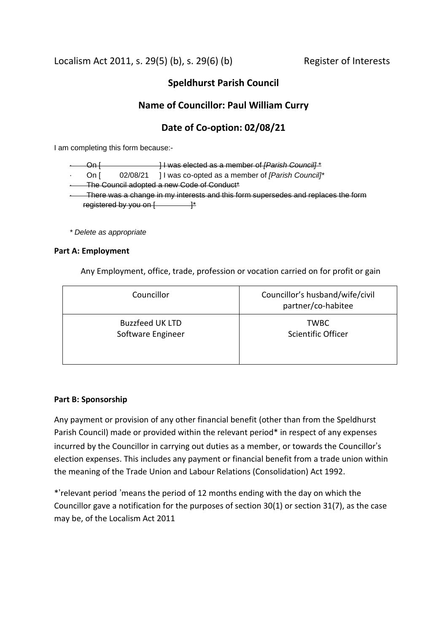Localism Act 2011, s. 29(5) (b), s. 29(6) (b) Register of Interests

# **Speldhurst Parish Council**

# **Name of Councillor: Paul William Curry**

## **Date of Co-option: 02/08/21**

I am completing this form because:-

| ۱n.                                                                               |                        | H was elected as a member of [Parish Council]*   |  |  |
|-----------------------------------------------------------------------------------|------------------------|--------------------------------------------------|--|--|
| On I                                                                              | 02/08/21               | 11 was co-opted as a member of [Parish Council]* |  |  |
|                                                                                   |                        | -The Council adopted a new Code of Conduct*      |  |  |
| There was a change in my interests and this form supersedes and replaces the form |                        |                                                  |  |  |
|                                                                                   | registered by you on [ |                                                  |  |  |
|                                                                                   |                        |                                                  |  |  |

*\* Delete as appropriate*

## **Part A: Employment**

Any Employment, office, trade, profession or vocation carried on for profit or gain

| Councillor             | Councillor's husband/wife/civil<br>partner/co-habitee |
|------------------------|-------------------------------------------------------|
| <b>Buzzfeed UK LTD</b> | <b>TWBC</b>                                           |
| Software Engineer      | Scientific Officer                                    |

## **Part B: Sponsorship**

Any payment or provision of any other financial benefit (other than from the Speldhurst Parish Council) made or provided within the relevant period\* in respect of any expenses incurred by the Councillor in carrying out duties as a member, or towards the Councillor's election expenses. This includes any payment or financial benefit from a trade union within the meaning of the Trade Union and Labour Relations (Consolidation) Act 1992.

\*'relevant period 'means the period of 12 months ending with the day on which the Councillor gave a notification for the purposes of section 30(1) or section 31(7), as the case may be, of the Localism Act 2011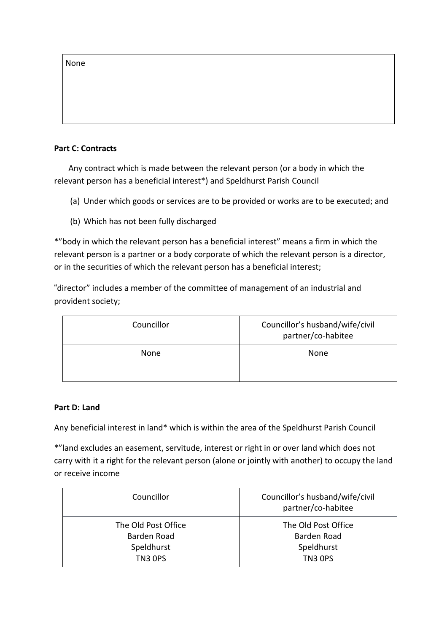None

## **Part C: Contracts**

 Any contract which is made between the relevant person (or a body in which the relevant person has a beneficial interest\*) and Speldhurst Parish Council

- (a) Under which goods or services are to be provided or works are to be executed; and
- (b) Which has not been fully discharged

\*"body in which the relevant person has a beneficial interest" means a firm in which the relevant person is a partner or a body corporate of which the relevant person is a director, or in the securities of which the relevant person has a beneficial interest;

"director" includes a member of the committee of management of an industrial and provident society;

| Councillor | Councillor's husband/wife/civil<br>partner/co-habitee |
|------------|-------------------------------------------------------|
| None       | None                                                  |

## **Part D: Land**

Any beneficial interest in land\* which is within the area of the Speldhurst Parish Council

\*"land excludes an easement, servitude, interest or right in or over land which does not carry with it a right for the relevant person (alone or jointly with another) to occupy the land or receive income

| Councillor          | Councillor's husband/wife/civil<br>partner/co-habitee |
|---------------------|-------------------------------------------------------|
| The Old Post Office | The Old Post Office                                   |
| Barden Road         | Barden Road                                           |
| Speldhurst          | Speldhurst                                            |
| <b>TN3 OPS</b>      | TN3 OPS                                               |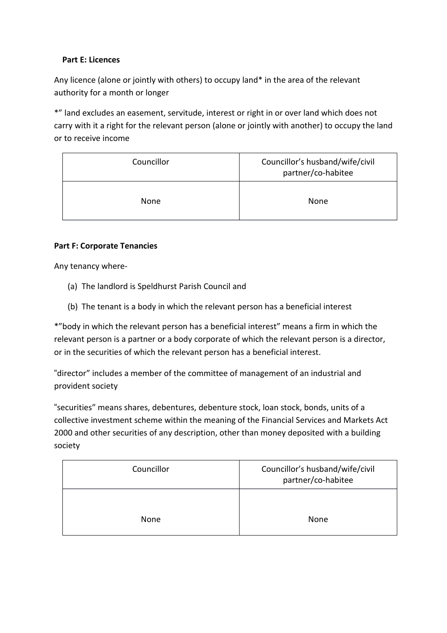## **Part E: Licences**

Any licence (alone or jointly with others) to occupy land\* in the area of the relevant authority for a month or longer

\*" land excludes an easement, servitude, interest or right in or over land which does not carry with it a right for the relevant person (alone or jointly with another) to occupy the land or to receive income

| Councillor | Councillor's husband/wife/civil<br>partner/co-habitee |
|------------|-------------------------------------------------------|
| None       | None                                                  |

## **Part F: Corporate Tenancies**

Any tenancy where-

- (a) The landlord is Speldhurst Parish Council and
- (b) The tenant is a body in which the relevant person has a beneficial interest

\*"body in which the relevant person has a beneficial interest" means a firm in which the relevant person is a partner or a body corporate of which the relevant person is a director, or in the securities of which the relevant person has a beneficial interest.

"director" includes a member of the committee of management of an industrial and provident society

"securities" means shares, debentures, debenture stock, loan stock, bonds, units of a collective investment scheme within the meaning of the Financial Services and Markets Act 2000 and other securities of any description, other than money deposited with a building society

| Councillor | Councillor's husband/wife/civil<br>partner/co-habitee |
|------------|-------------------------------------------------------|
| None       | None                                                  |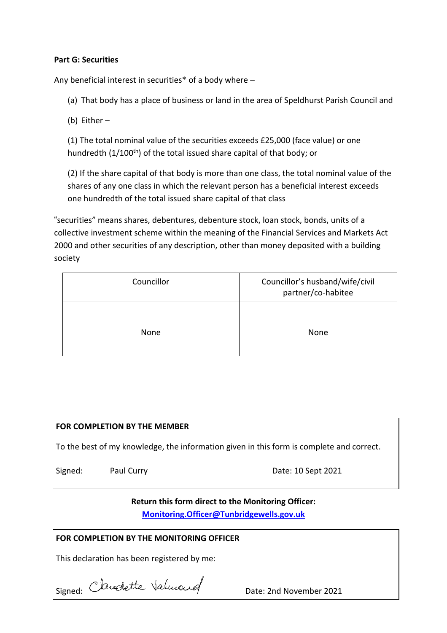## **Part G: Securities**

Any beneficial interest in securities\* of a body where –

(a) That body has a place of business or land in the area of Speldhurst Parish Council and

(b) Either –

(1) The total nominal value of the securities exceeds £25,000 (face value) or one hundredth  $(1/100<sup>th</sup>)$  of the total issued share capital of that body; or

(2) If the share capital of that body is more than one class, the total nominal value of the shares of any one class in which the relevant person has a beneficial interest exceeds one hundredth of the total issued share capital of that class

"securities" means shares, debentures, debenture stock, loan stock, bonds, units of a collective investment scheme within the meaning of the Financial Services and Markets Act 2000 and other securities of any description, other than money deposited with a building society

| Councillor | Councillor's husband/wife/civil<br>partner/co-habitee |
|------------|-------------------------------------------------------|
| None       | None                                                  |

# **FOR COMPLETION BY THE MEMBER**

To the best of my knowledge, the information given in this form is complete and correct.

Signed: Paul Curry **Date: 10 Sept 2021** 

## **Return this form direct to the Monitoring Officer:**

**[Monitoring.Officer@Tunbridgewells.gov.uk](mailto:Monitoring.Officer@Tunbridgewells.gov.uk)**

## **FOR COMPLETION BY THE MONITORING OFFICER**

This declaration has been registered by me:

Signed: Date: 2nd November 2021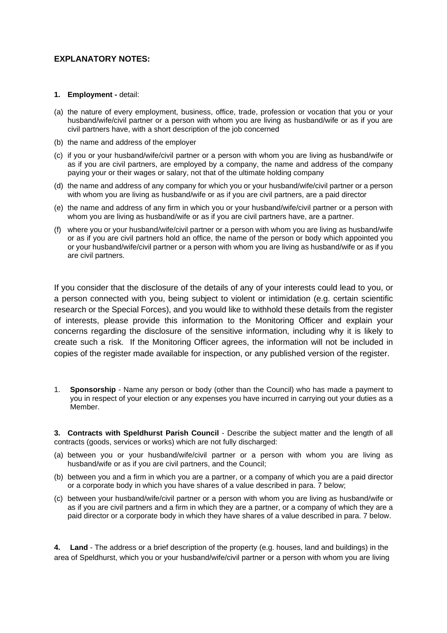## **EXPLANATORY NOTES:**

#### **1. Employment -** detail:

- (a) the nature of every employment, business, office, trade, profession or vocation that you or your husband/wife/civil partner or a person with whom you are living as husband/wife or as if you are civil partners have, with a short description of the job concerned
- (b) the name and address of the employer
- (c) if you or your husband/wife/civil partner or a person with whom you are living as husband/wife or as if you are civil partners, are employed by a company, the name and address of the company paying your or their wages or salary, not that of the ultimate holding company
- (d) the name and address of any company for which you or your husband/wife/civil partner or a person with whom you are living as husband/wife or as if you are civil partners, are a paid director
- (e) the name and address of any firm in which you or your husband/wife/civil partner or a person with whom you are living as husband/wife or as if you are civil partners have, are a partner.
- (f) where you or your husband/wife/civil partner or a person with whom you are living as husband/wife or as if you are civil partners hold an office, the name of the person or body which appointed you or your husband/wife/civil partner or a person with whom you are living as husband/wife or as if you are civil partners.

If you consider that the disclosure of the details of any of your interests could lead to you, or a person connected with you, being subject to violent or intimidation (e.g. certain scientific research or the Special Forces), and you would like to withhold these details from the register of interests, please provide this information to the Monitoring Officer and explain your concerns regarding the disclosure of the sensitive information, including why it is likely to create such a risk. If the Monitoring Officer agrees, the information will not be included in copies of the register made available for inspection, or any published version of the register.

1. **Sponsorship** - Name any person or body (other than the Council) who has made a payment to you in respect of your election or any expenses you have incurred in carrying out your duties as a Member.

**3. Contracts with Speldhurst Parish Council** - Describe the subject matter and the length of all contracts (goods, services or works) which are not fully discharged:

- (a) between you or your husband/wife/civil partner or a person with whom you are living as husband/wife or as if you are civil partners, and the Council;
- (b) between you and a firm in which you are a partner, or a company of which you are a paid director or a corporate body in which you have shares of a value described in para. 7 below;
- (c) between your husband/wife/civil partner or a person with whom you are living as husband/wife or as if you are civil partners and a firm in which they are a partner, or a company of which they are a paid director or a corporate body in which they have shares of a value described in para. 7 below.

**4. Land** - The address or a brief description of the property (e.g. houses, land and buildings) in the area of Speldhurst, which you or your husband/wife/civil partner or a person with whom you are living